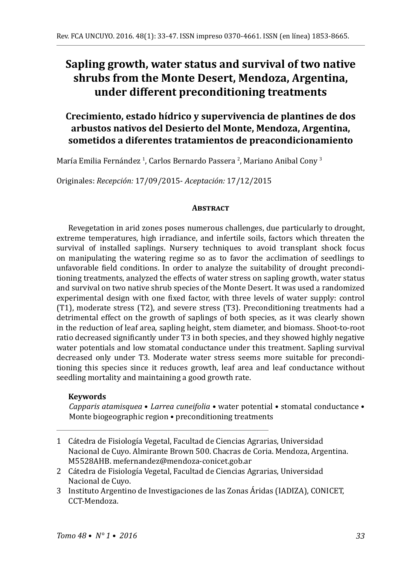# **Sapling growth, water status and survival of two native shrubs from the Monte Desert, Mendoza, Argentina, under different preconditioning treatments**

## **Crecimiento, estado hídrico y supervivencia de plantines de dos arbustos nativos del Desierto del Monte, Mendoza, Argentina, sometidos a diferentes tratamientos de preacondicionamiento**

María Emilia Fernández <sup>I</sup>, Carlos Bernardo Passera <sup>2</sup>, Mariano Anibal Cony <sup>3</sup>

Originales: *Recepción:* 17/09/2015- *Aceptación:* 17/12/2015

### **ABSTRACT**

Revegetation in arid zones poses numerous challenges, due particularly to drought, extreme temperatures, high irradiance, and infertile soils, factors which threaten the survival of installed saplings. Nursery techniques to avoid transplant shock focus on manipulating the watering regime so as to favor the acclimation of seedlings to unfavorable field conditions. In order to analyze the suitability of drought preconditioning treatments, analyzed the effects of water stress on sapling growth, water status and survival on two native shrub species of the Monte Desert. It was used a randomized experimental design with one fixed factor, with three levels of water supply: control (T1), moderate stress (T2), and severe stress (T3). Preconditioning treatments had a detrimental effect on the growth of saplings of both species, as it was clearly shown in the reduction of leaf area, sapling height, stem diameter, and biomass. Shoot-to-root ratio decreased significantly under T3 in both species, and they showed highly negative water potentials and low stomatal conductance under this treatment. Sapling survival decreased only under T3. Moderate water stress seems more suitable for preconditioning this species since it reduces growth, leaf area and leaf conductance without seedling mortality and maintaining a good growth rate.

### **Keywords**

*Capparis atamisquea* • *Larrea cuneifolia* • water potential • stomatal conductance • Monte biogeographic region • preconditioning treatments

- 1 Cátedra de Fisiología Vegetal, Facultad de Ciencias Agrarias, Universidad Nacional de Cuyo. Almirante Brown 500. Chacras de Coria. Mendoza, Argentina. M5528AHB. mefernandez@mendoza-conicet.gob.ar
- 2 Cátedra de Fisiología Vegetal, Facultad de Ciencias Agrarias, Universidad Nacional de Cuyo.
- 3 Instituto Argentino de Investigaciones de las Zonas Áridas (IADIZA), CONICET, CCT-Mendoza.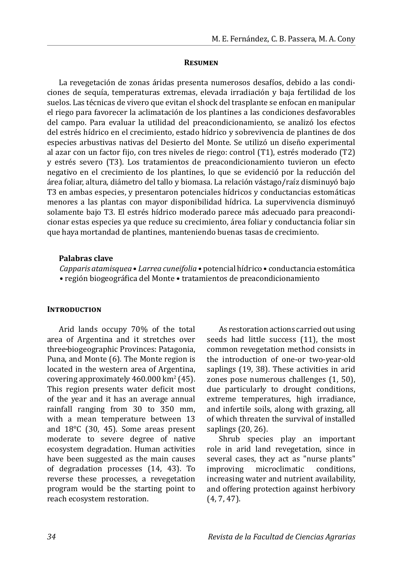#### **Resumen**

La revegetación de zonas áridas presenta numerosos desafíos, debido a las condiciones de sequía, temperaturas extremas, elevada irradiación y baja fertilidad de los suelos. Las técnicas de vivero que evitan el shock del trasplante se enfocan en manipular el riego para favorecer la aclimatación de los plantines a las condiciones desfavorables del campo. Para evaluar la utilidad del preacondicionamiento, se analizó los efectos del estrés hídrico en el crecimiento, estado hídrico y sobrevivencia de plantines de dos especies arbustivas nativas del Desierto del Monte. Se utilizó un diseño experimental al azar con un factor fijo, con tres niveles de riego: control (T1), estrés moderado (T2) y estrés severo (T3). Los tratamientos de preacondicionamiento tuvieron un efecto negativo en el crecimiento de los plantines, lo que se evidenció por la reducción del área foliar, altura, diámetro del tallo y biomasa. La relación vástago/raíz disminuyó bajo T3 en ambas especies, y presentaron potenciales hídricos y conductancias estomáticas menores a las plantas con mayor disponibilidad hídrica. La supervivencia disminuyó solamente bajo T3. El estrés hídrico moderado parece más adecuado para preacondicionar estas especies ya que reduce su crecimiento, área foliar y conductancia foliar sin que haya mortandad de plantines, manteniendo buenas tasas de crecimiento.

#### **Palabras clave**

*Capparis atamisquea* • *Larrea cuneifolia* • potencial hídrico • conductancia estomática • región biogeográfica del Monte • tratamientos de preacondicionamiento

### **INTRODUCTION**

Arid lands occupy 70% of the total area of Argentina and it stretches over three biogeographic Provinces: Patagonia, Puna, and Monte (6). The Monte region is located in the western area of Argentina, covering approximately  $460.000 \mathrm{~km^2}$  (45). This region presents water deficit most of the year and it has an average annual rainfall ranging from 30 to 350 mm, with a mean temperature between 13 and 18°C (30, 45). Some areas present moderate to severe degree of native ecosystem degradation. Human activities have been suggested as the main causes of degradation processes (14, 43). To reverse these processes, a revegetation program would be the starting point to reach ecosystem restoration.

As restoration actions carried out using seeds had little success (11), the most common revegetation method consists in the introduction of one-or two-year-old saplings (19, 38). These activities in arid zones pose numerous challenges (1, 50), due particularly to drought conditions, extreme temperatures, high irradiance, and infertile soils, along with grazing, all of which threaten the survival of installed saplings (20, 26).

Shrub species play an important role in arid land revegetation, since in several cases, they act as "nurse plants"<br>improving microclimatic conditions. microclimatic increasing water and nutrient availability, and offering protection against herbivory (4, 7, 47).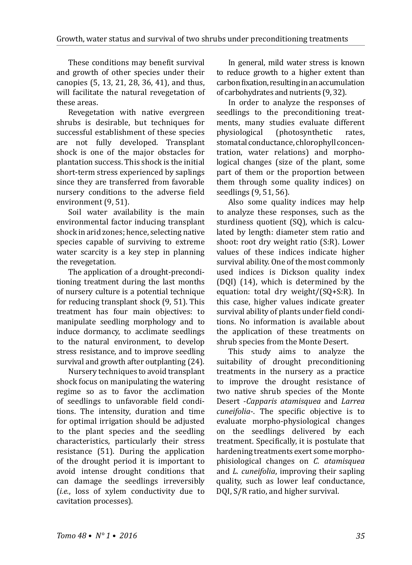These conditions may benefit survival and growth of other species under their canopies (5, 13, 21, 28, 36, 41), and thus, will facilitate the natural revegetation of these areas.

Revegetation with native evergreen shrubs is desirable, but techniques for successful establishment of these species are not fully developed. Transplant shock is one of the major obstacles for plantation success. This shock is the initial short-term stress experienced by saplings since they are transferred from favorable nursery conditions to the adverse field environment (9, 51).

Soil water availability is the main environmental factor inducing transplant shock in arid zones; hence, selecting native species capable of surviving to extreme water scarcity is a key step in planning the revegetation.

The application of a drought-preconditioning treatment during the last months of nursery culture is a potential technique for reducing transplant shock (9, 51). This treatment has four main objectives: to manipulate seedling morphology and to induce dormancy, to acclimate seedlings to the natural environment, to develop stress resistance, and to improve seedling survival and growth after outplanting (24).

Nursery techniques to avoid transplant shock focus on manipulating the watering regime so as to favor the acclimation of seedlings to unfavorable field conditions. The intensity, duration and time for optimal irrigation should be adjusted to the plant species and the seedling characteristics, particularly their stress resistance (51). During the application of the drought period it is important to avoid intense drought conditions that can damage the seedlings irreversibly (*i.e.*, loss of xylem conductivity due to cavitation processes).

In general, mild water stress is known to reduce growth to a higher extent than carbon fixation, resulting in an accumulation of carbohydrates and nutrients (9, 32).

In order to analyze the responses of seedlings to the preconditioning treatments, many studies evaluate different<br>physiological (photosynthetic rates. (photosynthetic stomatal conductance, chlorophyll concentration, water relations) and morphological changes (size of the plant, some part of them or the proportion between them through some quality indices) on seedlings (9, 51, 56).

Also some quality indices may help to analyze these responses, such as the sturdiness quotient (SQ), which is calculated by length: diameter stem ratio and shoot: root dry weight ratio (S:R). Lower values of these indices indicate higher survival ability. One of the most commonly used indices is Dickson quality index (DQI) (14), which is determined by the equation: total dry weight/(SQ+S:R). In this case, higher values indicate greater survival ability of plants under field conditions. No information is available about the application of these treatments on shrub species from the Monte Desert.

This study aims to analyze the suitability of drought preconditioning treatments in the nursery as a practice to improve the drought resistance of two native shrub species of the Monte Desert -*Capparis atamisquea* and *Larrea cuneifolia*-. The specific objective is to evaluate morpho-physiological changes on the seedlings delivered by each treatment. Specifically, it is postulate that hardening treatments exert some morphophisiological changes on *C. atamisquea* and *L. cuneifolia*, improving their sapling quality, such as lower leaf conductance, DQI, S/R ratio, and higher survival.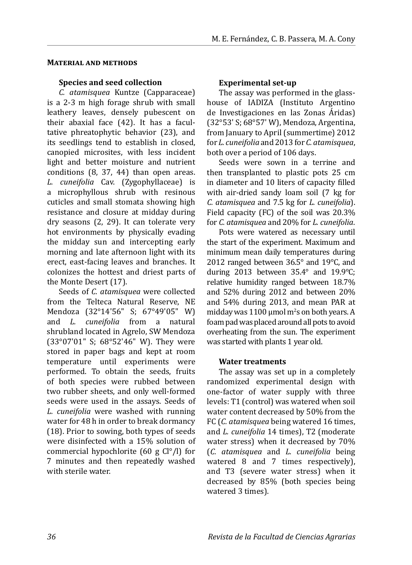### **Material and methods**

### **Species and seed collection**

*C. atamisquea* Kuntze (Capparaceae) is a 2-3 m high forage shrub with small leathery leaves, densely pubescent on their abaxial face (42). It has a facultative phreatophytic behavior (23), and its seedlings tend to establish in closed, canopied microsites, with less incident light and better moisture and nutrient conditions (8, 37, 44) than open areas. *L. cuneifolia* Cav. (Zygophyllaceae) is a microphyllous shrub with resinous cuticles and small stomata showing high resistance and closure at midday during dry seasons (2, 29). It can tolerate very hot environments by physically evading the midday sun and intercepting early morning and late afternoon light with its erect, east-facing leaves and branches. It colonizes the hottest and driest parts of the Monte Desert (17).

Seeds of *C. atamisquea* were collected from the Telteca Natural Reserve, NE Mendoza (32°14'56" S; 67°49'05" W) and *L. cuneifolia* from a natural shrubland located in Agrelo, SW Mendoza (33°07'01" S; 68°52'46" W). They were stored in paper bags and kept at room temperature until experiments were performed. To obtain the seeds, fruits of both species were rubbed between two rubber sheets, and only well-formed seeds were used in the assays. Seeds of *L. cuneifolia* were washed with running water for 48 h in order to break dormancy (18). Prior to sowing, both types of seeds were disinfected with a 15% solution of commercial hypochlorite (60 g Cl°/l) for 7 minutes and then repeatedly washed with sterile water.

### **Experimental set-up**

The assay was performed in the glasshouse of IADIZA (Instituto Argentino de Investigaciones en las Zonas Áridas) (32°53' S; 68°57' W), Mendoza, Argentina, from January to April (summertime) 2012 for *L. cuneifolia* and 2013 for *C. atamisquea*, both over a period of 106 days.

Seeds were sown in a terrine and then transplanted to plastic pots 25 cm in diameter and 10 liters of capacity filled with air-dried sandy loam soil (7 kg for *C. atamisquea* and 7.5 kg for *L. cuneifolia*). Field capacity (FC) of the soil was 20.3% for *C. atamisquea* and 20% for *L. cuneifolia*.

Pots were watered as necessary until the start of the experiment. Maximum and minimum mean daily temperatures during 2012 ranged between 36.5° and 19°C, and during 2013 between 35.4° and 19.9°C; relative humidity ranged between 18.7% and 52% during 2012 and between 20% and 54% during 2013, and mean PAR at midday was  $1100 \mu$ mol m<sup>2</sup>s on both years. A foam pad was placed around all pots to avoid overheating from the sun. The experiment was started with plants 1 year old.

### **Water treatments**

The assay was set up in a completely randomized experimental design with one-factor of water supply with three levels: T1 (control) was watered when soil water content decreased by 50% from the FC (*C. atamisquea* being watered 16 times, and *L. cuneifolia* 14 times), T2 (moderate water stress) when it decreased by 70% (*C. atamisquea* and *L. cuneifolia* being watered 8 and 7 times respectively), and T3 (severe water stress) when it decreased by 85% (both species being watered 3 times).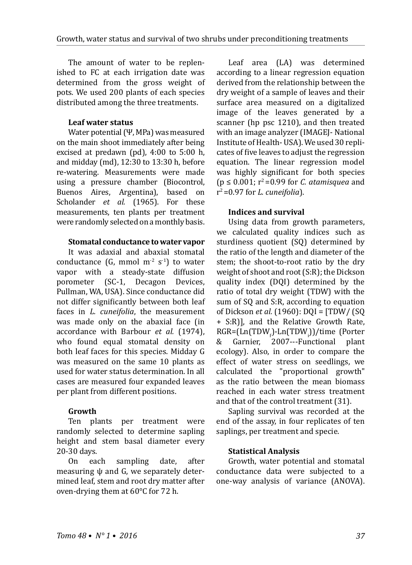The amount of water to be replenished to FC at each irrigation date was determined from the gross weight of pots. We used 200 plants of each species distributed among the three treatments.

### **Leaf water status**

Water potential (Ψ, MPa) was measured on the main shoot immediately after being excised at predawn (pd), 4:00 to 5:00 h, and midday (md), 12:30 to 13:30 h, before re-watering. Measurements were made using a pressure chamber (Biocontrol, Buenos Aires, Argentina), based on Scholander *et al.* (1965). For these measurements, ten plants per treatment were randomly selected on a monthly basis.

### **Stomatal conductance to water vapor**

It was adaxial and abaxial stomatal conductance (G, mmol  $m<sup>-2</sup> s<sup>-1</sup>$ ) to water vapor with a steady-state diffusion porometer (SC-1, Decagon Devices, Pullman, WA, USA). Since conductance did not differ significantly between both leaf faces in *L. cuneifolia*, the measurement was made only on the abaxial face (in accordance with Barbour *et al.* (1974), who found equal stomatal density on both leaf faces for this species. Midday G was measured on the same 10 plants as used for water status determination. In all cases are measured four expanded leaves per plant from different positions.

### **Growth**

Ten plants per treatment were randomly selected to determine sapling height and stem basal diameter every 20-30 days.<br>On each

sampling date, after measuring  $\psi$  and G, we separately determined leaf, stem and root dry matter after oven-drying them at 60°C for 72 h.

Leaf area (LA) was determined according to a linear regression equation derived from the relationship between the dry weight of a sample of leaves and their surface area measured on a digitalized image of the leaves generated by a scanner (hp psc 1210), and then treated with an image analyzer (IMAGEI- National Institute of Health- USA). We used 30 replicates of five leaves to adjust the regression equation. The linear regression model was highly significant for both species (p ≤ 0.001; r2 =0.99 for *C. atamisquea* and r2 =0.97 for *L. cuneifolia*).

### **Indices and survival**

Using data from growth parameters, we calculated quality indices such as sturdiness quotient (SQ) determined by the ratio of the length and diameter of the stem; the shoot-to-root ratio by the dry weight of shoot and root (S:R); the Dickson quality index (DQI) determined by the ratio of total dry weight (TDW) with the sum of SQ and S:R, according to equation of Dickson *et al.* (1960): DQI = [TDW/ (SQ + S:R)], and the Relative Growth Rate,  $R_GR = \left[ \text{Ln}(\text{TDW}_f) - \text{Ln}(\text{TDW}_f) \right] / \text{time}$  (Porter & Garnier, 2007---Functional plant ecology). Also, in order to compare the effect of water stress on seedlings, we calculated the "proportional growth" as the ratio between the mean biomass reached in each water stress treatment and that of the control treatment (31).

Sapling survival was recorded at the end of the assay, in four replicates of ten saplings, per treatment and specie.

### **Statistical Analysis**

Growth, water potential and stomatal conductance data were subjected to a one-way analysis of variance (ANOVA).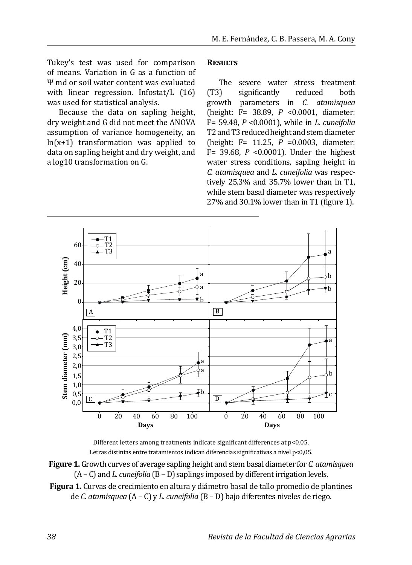Tukey's test was used for comparison of means. Variation in G as a function of Ψ md or soil water content was evaluated with linear regression. Infostat/L (16) was used for statistical analysis.

Because the data on sapling height, dry weight and G did not meet the ANOVA assumption of variance homogeneity, an  $ln(x+1)$  transformation was applied to data on sapling height and dry weight, and a log10 transformation on G.

#### **Results**

The severe water stress treatment<br>
(T3) significantly reduced both (T3) significantly reduced both growth parameters in *C. atamisquea*  (height: F= 38.89, *P* <0.0001, diameter: F= 59.48, *P* <0.0001), while in *L. cuneifolia* T2 and T3 reduced height and stem diameter (height: F= 11.25, *P* =0.0003, diameter: F= 39.68, *P* <0.0001). Under the highest water stress conditions, sapling height in *C. atamisquea* and *L. cuneifolia* was respectively 25.3% and 35.7% lower than in T1, while stem basal diameter was respectively 27% and 30.1% lower than in T1 (figure 1).



Different letters among treatments indicate significant differences at p<0.05. Letras distintas entre tratamientos indican diferencias significativas a nivel p<0,05.

- **Figure 1.** Growth curves of average sapling height and stem basal diameter for *C. atamisquea*  (A – C) and *L. cuneifolia* (B – D) saplings imposed by different irrigation levels.
- **Figura 1.** Curvas de crecimiento en altura y diámetro basal de tallo promedio de plantines de *C. atamisquea* (A – C) y *L. cuneifolia* (B – D) bajo diferentes niveles de riego.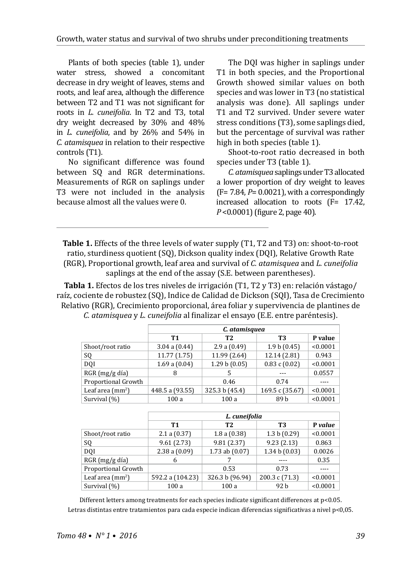Plants of both species (table 1), under water stress, showed a concomitant decrease in dry weight of leaves, stems and roots, and leaf area, although the difference between T2 and T1 was not significant for roots in *L. cuneifolia*. In T2 and T3, total dry weight decreased by 30% and 48% in *L. cuneifolia*, and by 26% and 54% in *C. atamisquea* in relation to their respective controls (T1).

No significant difference was found between SQ and RGR determinations. Measurements of RGR on saplings under T3 were not included in the analysis because almost all the values were 0.

The DQI was higher in saplings under T1 in both species, and the Proportional Growth showed similar values on both species and was lower in T3 (no statistical analysis was done). All saplings under T1 and T2 survived. Under severe water stress conditions (T3), some saplings died, but the percentage of survival was rather high in both species (table 1).

Shoot-to-root ratio decreased in both species under T3 (table 1).

*C. atamisquea* saplings under T3 allocated a lower proportion of dry weight to leaves  $(F= 7.84, P= 0.0021)$ , with a correspondingly increased allocation to roots (F= 17.42, *P* <0.0001) (figure 2, page 40).

**Table 1.** Effects of the three levels of water supply (T1, T2 and T3) on: shoot-to-root ratio, sturdiness quotient (SQ), Dickson quality index (DQI), Relative Growth Rate (RGR), Proportional growth, leaf area and survival of *C. atamisquea* and *L. cuneifolia*  saplings at the end of the assay (S.E. between parentheses).

**Tabla 1.** Efectos de los tres niveles de irrigación (T1, T2 y T3) en: relación vástago/ raíz, cociente de robustez (SQ), Indice de Calidad de Dickson (SQI), Tasa de Crecimiento Relativo (RGR), Crecimiento proporcional, área foliar y supervivencia de plantines de *C. atamisquea* y *L. cuneifolia* al finalizar el ensayo (E.E. entre paréntesis).

|                                   | C. atamisquea   |                |                 |          |  |  |  |  |  |
|-----------------------------------|-----------------|----------------|-----------------|----------|--|--|--|--|--|
|                                   | T1              | T <sub>2</sub> | T3              | P value  |  |  |  |  |  |
| Shoot/root ratio                  | 3.04 a (0.44)   | 2.9a(0.49)     | 1.9 b (0.45)    | < 0.0001 |  |  |  |  |  |
| SQ                                | 11.77 (1.75)    | 11.99 (2.64)   | 12.14 (2.81)    | 0.943    |  |  |  |  |  |
| DOI                               | 1.69a(0.04)     | 1.29 b(0.05)   | 0.83c(0.02)     | < 0.0001 |  |  |  |  |  |
| RGR (mg/g día)                    | 8               | 5              |                 | 0.0557   |  |  |  |  |  |
| Proportional Growth               |                 | 0.46           | 0.74            |          |  |  |  |  |  |
| Leaf area $\text{ (mm}^2\text{)}$ | 448.5 a (93.55) | 325.3 b (45.4) | 169.5 c (35.67) | < 0.0001 |  |  |  |  |  |
| Survival (%)                      | 100a            | 100a           | 89 b            | < 0.0001 |  |  |  |  |  |
|                                   |                 |                |                 |          |  |  |  |  |  |

|                                   | L. cuneifolia    |                 |                |          |  |  |  |
|-----------------------------------|------------------|-----------------|----------------|----------|--|--|--|
|                                   | T1               | T <sub>2</sub>  | T3             | P value  |  |  |  |
| Shoot/root ratio                  | 2.1 a (0.37)     | 1.8a(0.38)      | 1.3 b $(0.29)$ | < 0.0001 |  |  |  |
| SQ                                | 9.61(2.73)       | 9.81(2.37)      | 9.23(2.13)     | 0.863    |  |  |  |
| DOI                               | 2.38a(0.09)      | 1.73 ab (0.07)  | 1.34 b(0.03)   | 0.0026   |  |  |  |
| RGR (mg/g día)                    | 6                |                 |                | 0.35     |  |  |  |
| Proportional Growth               |                  | 0.53            | 0.73           |          |  |  |  |
| Leaf area $\text{ (mm}^2\text{)}$ | 592.2 a (104.23) | 326.3 b (96.94) | 200.3 c (71.3) | < 0.0001 |  |  |  |
| Survival (%)                      | 100a             | 100a            | 92 b           | < 0.0001 |  |  |  |

Different letters among treatments for each species indicate significant differences at p<0.05. Letras distintas entre tratamientos para cada especie indican diferencias significativas a nivel p<0,05.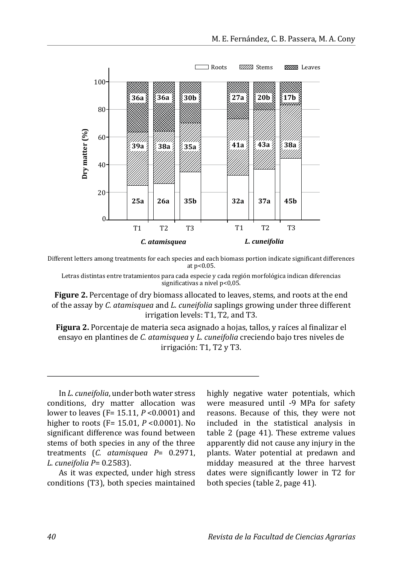

Different letters among treatments for each species and each biomass portion indicate significant differences at p<0.05.

Letras distintas entre tratamientos para cada especie y cada región morfológica indican diferencias significativas a nivel p<0,05.

**Figure 2.** Percentage of dry biomass allocated to leaves, stems, and roots at the end of the assay by *C. atamisquea* and *L. cuneifolia* saplings growing under three different irrigation levels: T1, T2, and T3.

**Figura 2.** Porcentaje de materia seca asignado a hojas, tallos, y raíces al finalizar el ensayo en plantines de *C. atamisquea* y *L. cuneifolia* creciendo bajo tres niveles de irrigación: T1, T2 y T3.

In *L. cuneifolia*, under both water stress conditions, dry matter allocation was lower to leaves (F= 15.11, *P* <0.0001) and higher to roots (F= 15.01, *P* <0.0001). No significant difference was found between stems of both species in any of the three treatments (*C. atamisquea P*= 0.2971, *L. cuneifolia P*= 0.2583).

As it was expected, under high stress conditions (T3), both species maintained highly negative water potentials, which were measured until -9 MPa for safety reasons. Because of this, they were not included in the statistical analysis in table 2 (page 41). These extreme values apparently did not cause any injury in the plants. Water potential at predawn and midday measured at the three harvest dates were significantly lower in T2 for both species (table 2, page 41).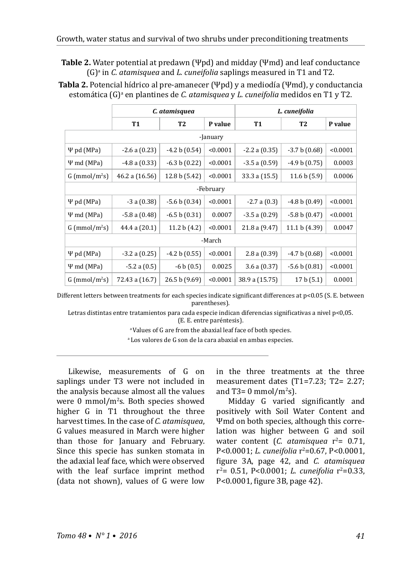**Table 2.** Water potential at predawn (Ψpd) and midday (Ψmd) and leaf conductance (G)<sup>a</sup> in *C. atamisquea* and *L. cuneifolia* saplings measured in T1 and T2.

**Tabla 2.** Potencial hídrico al pre-amanecer (Ψpd) y a mediodía (Ψmd), y conductancia estomática (G)ª en plantines de *C. atamisquea y L. cuneifolia* medidos en T1 y T2.

|                             | C. atamisquea     |                 |          | L. cuneifolia  |                |          |  |  |  |  |
|-----------------------------|-------------------|-----------------|----------|----------------|----------------|----------|--|--|--|--|
|                             | <b>T1</b>         | <b>T2</b>       | P value  | <b>T1</b>      | <b>T2</b>      | P value  |  |  |  |  |
| -January                    |                   |                 |          |                |                |          |  |  |  |  |
| $\Psi$ pd (MPa)             | $-2.6a(0.23)$     | $-4.2 b(0.54)$  | < 0.0001 | $-2.2a(0.35)$  | $-3.7 b(0.68)$ | < 0.0001 |  |  |  |  |
| $\Psi$ md (MPa)             | $-4.8a(0.33)$     | $-6.3 b(0.22)$  | < 0.0001 | $-3.5a(0.59)$  | $-4.9 b(0.75)$ | 0.0003   |  |  |  |  |
| $G$ (mmol/m <sup>2</sup> s) | 46.2 a (16.56)    | 12.8 b (5.42)   | < 0.0001 | 33.3 a (15.5)  | 11.6 b(5.9)    | 0.0006   |  |  |  |  |
| -February                   |                   |                 |          |                |                |          |  |  |  |  |
| $\Psi$ pd (MPa)             | $-3a(0.38)$       | $-5.6 b (0.34)$ | < 0.0001 | $-2.7a(0.3)$   | $-4.8 b(0.49)$ | < 0.0001 |  |  |  |  |
| $\Psi$ md (MPa)             | $-5.8a(0.48)$     | $-6.5 b(0.31)$  | 0.0007   | $-3.5a(0.29)$  | $-5.8 b(0.47)$ | < 0.0001 |  |  |  |  |
| $G$ (mmol/m <sup>2</sup> s) | 44.4 a (20.1)     | 11.2 b $(4.2)$  | < 0.0001 | 21.8 a (9.47)  | 11.1 b (4.39)  | 0.0047   |  |  |  |  |
| -March                      |                   |                 |          |                |                |          |  |  |  |  |
| $\Psi$ pd (MPa)             | $-3.2$ a $(0.25)$ | $-4.2 b(0.55)$  | < 0.0001 | 2.8a(0.39)     | $-4.7 b(0.68)$ | < 0.0001 |  |  |  |  |
| $\Psi$ md (MPa)             | $-5.2$ a $(0.5)$  | $-6 b (0.5)$    | 0.0025   | 3.6a(0.37)     | $-5.6 b(0.81)$ | < 0.0001 |  |  |  |  |
| $G$ (mmol/m <sup>2</sup> s) | 72.43 a (16.7)    | 26.5 b (9.69)   | < 0.0001 | 38.9 a (15.75) | 17 b (5.1)     | 0.0001   |  |  |  |  |

Different letters between treatments for each species indicate significant differences at p<0.05 (S. E. between parentheses).

Letras distintas entre tratamientos para cada especie indican diferencias significativas a nivel p<0,05. (E. E. entre paréntesis).

a Values of G are from the abaxial leaf face of both species.

a Los valores de G son de la cara abaxial en ambas especies.

Likewise, measurements of G on saplings under T3 were not included in the analysis because almost all the values were 0 mmol/m<sup>2</sup> s. Both species showed higher G in T1 throughout the three harvest times. In the case of *C. atamisquea*, G values measured in March were higher than those for January and February. Since this specie has sunken stomata in the adaxial leaf face, which were observed with the leaf surface imprint method (data not shown), values of G were low

in the three treatments at the three measurement dates (T1=7.23; T2= 2.27; and T3= 0 mmol/m<sup>2</sup>s).

Midday G varied significantly and positively with Soil Water Content and Ψmd on both species, although this correlation was higher between G and soil water content (*C. atamisquea* r<sup>2</sup>= 0.71, P<0.0001; *L. cuneifolia* r<sup>2</sup>=0.67, P<0.0001, figure 3A, page 42, and *C. atamisquea* r<sup>2</sup>= 0.51, P<0.0001; *L. cuneifolia* r<sup>2</sup>=0.33, P<0.0001, figure 3B, page 42).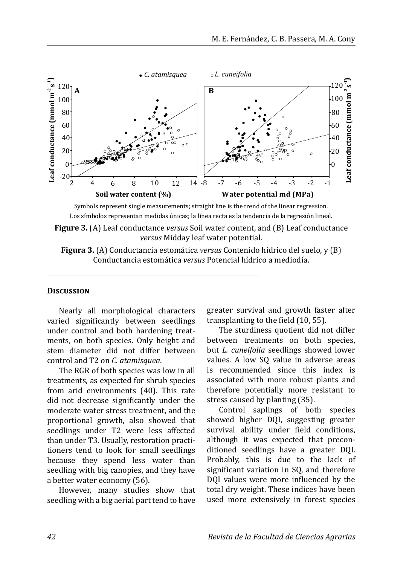

Los símbolos representan medidas únicas; la línea recta es la tendencia de la regresión lineal.

**Figure 3.** (A) Leaf conductance *versus* Soil water content, and (B) Leaf conductance *versus* Midday leaf water potential.

**Figura 3.** (A) Conductancia estomática *versus* Contenido hídrico del suelo, y (B) Conductancia estomática *versus* Potencial hídrico a mediodía.

#### **Discussion**

Nearly all morphological characters varied significantly between seedlings under control and both hardening treatments, on both species. Only height and stem diameter did not differ between control and T2 on *C. atamisquea*.

The RGR of both species was low in all treatments, as expected for shrub species from arid environments (40). This rate did not decrease significantly under the moderate water stress treatment, and the proportional growth, also showed that seedlings under T2 were less affected than under T3. Usually, restoration practitioners tend to look for small seedlings because they spend less water than seedling with big canopies, and they have a better water economy (56).

However, many studies show that seedling with a big aerial part tend to have greater survival and growth faster after transplanting to the field (10, 55).

The sturdiness quotient did not differ between treatments on both species, but *L. cuneifolia* seedlings showed lower values. A low SQ value in adverse areas is recommended since this index is associated with more robust plants and therefore potentially more resistant to stress caused by planting (35).

Control saplings of both species showed higher DQI, suggesting greater survival ability under field conditions, although it was expected that preconditioned seedlings have a greater DQI. Probably, this is due to the lack of significant variation in SQ, and therefore DQI values were more influenced by the total dry weight. These indices have been used more extensively in forest species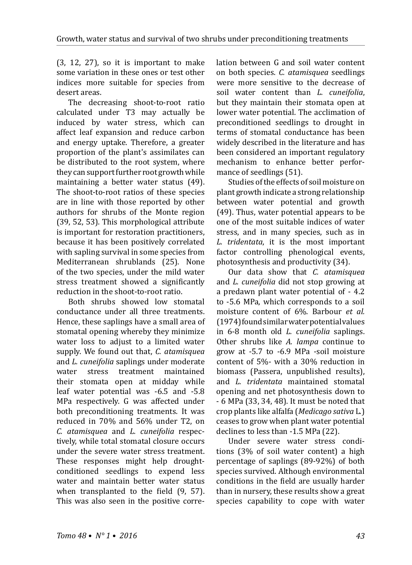(3, 12, 27), so it is important to make some variation in these ones or test other indices more suitable for species from desert areas.

The decreasing shoot-to-root ratio calculated under T3 may actually be induced by water stress, which can affect leaf expansion and reduce carbon and energy uptake. Therefore, a greater proportion of the plant's assimilates can be distributed to the root system, where they can support further root growth while maintaining a better water status (49). The shoot-to-root ratios of these species are in line with those reported by other authors for shrubs of the Monte region (39, 52, 53). This morphological attribute is important for restoration practitioners, because it has been positively correlated with sapling survival in some species from Mediterranean shrublands (25). None of the two species, under the mild water stress treatment showed a significantly reduction in the shoot-to-root ratio.

Both shrubs showed low stomatal conductance under all three treatments. Hence, these saplings have a small area of stomatal opening whereby they minimize water loss to adjust to a limited water supply. We found out that, *C. atamisquea* and *L. cuneifolia* saplings under moderate treatment maintained their stomata open at midday while leaf water potential was -6.5 and -5.8 MPa respectively. G was affected under both preconditioning treatments. It was reduced in 70% and 56% under T2, on *C. atamisquea* and *L. cuneifolia* respectively, while total stomatal closure occurs under the severe water stress treatment. These responses might help droughtconditioned seedlings to expend less water and maintain better water status when transplanted to the field (9, 57). This was also seen in the positive correlation between G and soil water content on both species. *C. atamisquea* seedlings were more sensitive to the decrease of soil water content than *L. cuneifolia*, but they maintain their stomata open at lower water potential. The acclimation of preconditioned seedlings to drought in terms of stomatal conductance has been widely described in the literature and has been considered an important regulatory mechanism to enhance better performance of seedlings (51).

Studies of the effects of soil moisture on plant growth indicate a strong relationship between water potential and growth (49). Thus, water potential appears to be one of the most suitable indices of water stress, and in many species, such as in *L. tridentata*, it is the most important factor controlling phenological events, photosynthesis and productivity (34).

Our data show that *C. atamisquea*  and *L. cuneifolia* did not stop growing at a predawn plant water potential of - 4.2 to -5.6 MPa, which corresponds to a soil moisture content of 6%. Barbour *et al.* (1974) found similar water potential values in 6-8 month old *L. cuneifolia* saplings. Other shrubs like *A. lampa* continue to grow at -5.7 to -6.9 MPa -soil moisture content of 5%- with a 30% reduction in biomass (Passera, unpublished results), and *L. tridentata* maintained stomatal opening and net photosynthesis down to - 6 MPa (33, 34, 48). It must be noted that crop plants like alfalfa (*Medicago sativa* L*.*) ceases to grow when plant water potential declines to less than -1.5 MPa (22).

Under severe water stress conditions (3% of soil water content) a high percentage of saplings (89-92%) of both species survived. Although environmental conditions in the field are usually harder than in nursery, these results show a great species capability to cope with water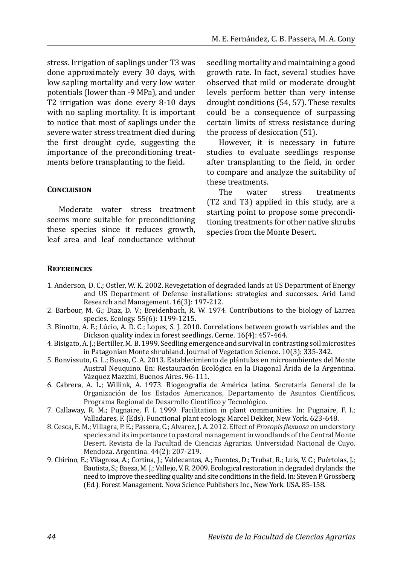stress. Irrigation of saplings under T3 was done approximately every 30 days, with low sapling mortality and very low water potentials (lower than -9 MPa), and under T2 irrigation was done every 8-10 days with no sapling mortality. It is important to notice that most of saplings under the severe water stress treatment died during the first drought cycle, suggesting the importance of the preconditioning treatments before transplanting to the field.

#### **Conclusion**

Moderate water stress treatment seems more suitable for preconditioning these species since it reduces growth, leaf area and leaf conductance without seedling mortality and maintaining a good growth rate. In fact, several studies have observed that mild or moderate drought levels perform better than very intense drought conditions (54, 57). These results could be a consequence of surpassing certain limits of stress resistance during the process of desiccation (51).

However, it is necessary in future studies to evaluate seedlings response after transplanting to the field, in order to compare and analyze the suitability of these treatments.<br>The water

stress treatments (T2 and T3) applied in this study, are a starting point to propose some preconditioning treatments for other native shrubs species from the Monte Desert.

#### **References**

- 1. Anderson, D. C.; Ostler, W. K. 2002. Revegetation of degraded lands at US Department of Energy and US Department of Defense installations: strategies and successes. Arid Land Research and Management. 16(3): 197-212.
- 2. Barbour, M. G.; Diaz, D. V.; Breidenbach, R. W. 1974. Contributions to the biology of Larrea species. Ecology. 55(6): 1199-1215.
- 3. Binotto, A. F.; Lúcio, A. D. C.; Lopes, S. J. 2010. Correlations between growth variables and the Dickson quality index in forest seedlings. Cerne. 16(4): 457-464.
- 4. Bisigato, A. J.; Bertiller, M. B. 1999. Seedling emergence and survival in contrasting soil microsites in Patagonian Monte shrubland. Journal of Vegetation Science. 10(3): 335-342.
- 5. Bonvissuto, G. L.; Busso, C. A. 2013. Establecimiento de plántulas en microambientes del Monte Austral Neuquino. En: Restauración Ecológica en la Diagonal Árida de la Argentina. Vázquez Mazzini, Buenos Aires. 96-111.
- 6. Cabrera, A. L.; Willink, A. 1973. Biogeografía de América latina. Secretaría General de la Organización de los Estados Americanos, Departamento de Asuntos Científicos, Programa Regional de Desarrollo Científico y Tecnológico.
- 7. Callaway, R. M.; Pugnaire, F. I. 1999. Facilitation in plant communities. In: Pugnaire, F. I.; Valladares, F. (Eds). Functional plant ecology. Marcel Dekker, New York. 623-648.
- 8. Cesca, E. M.; Villagra, P. E.; Passera, C.; Alvarez, J. A. 2012. Effect of *Prosopis flexuosa* on understory species and its importance to pastoral management in woodlands of the Central Monte Desert. Revista de la Facultad de Ciencias Agrarias. Universidad Nacional de Cuyo. Mendoza. Argentina. 44(2): 207-219.
- 9. Chirino, E.; Vilagrosa, A.; Cortina, J.; Valdecantos, A.; Fuentes, D.; Trubat, R.; Luis, V. C.; Puértolas, J.; Bautista, S.; Baeza, M. J.; Vallejo, V. R. 2009. Ecological restoration in degraded drylands: the need to improve the seedling quality and site conditions in the field. In: Steven P. Grossberg (Ed.). Forest Management. Nova Science Publishers Inc., New York. USA. 85-158.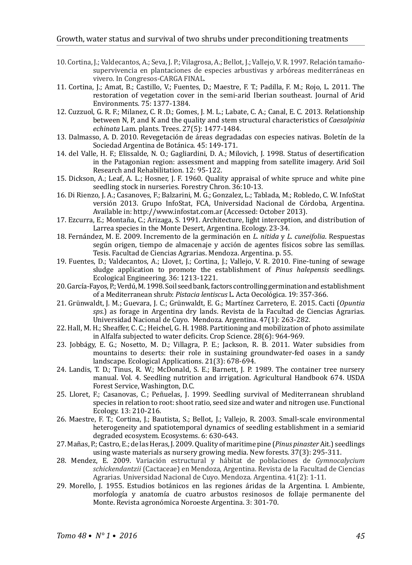- 10. Cortina, J.; Valdecantos, A.; Seva, J. P.; Vilagrosa, A.; Bellot, J.; Vallejo, V. R. 1997. Relación tamañosupervivencia en plantaciones de especies arbustivas y arbóreas mediterráneas en vivero. In Congresos-CARGA FINAL.
- 11. Cortina, J.; Amat, B.; Castillo, V.; Fuentes, D.; Maestre, F. T.; Padilla, F. M.; Rojo, L. 2011. The restoration of vegetation cover in the semi-arid Iberian southeast. Journal of Arid Environments. 75: 1377-1384.
- 12. Cuzzuol, G. R. F.; Milanez, C. R .D.; Gomes, J. M. L.; Labate, C. A.; Canal, E. C. 2013. Relationship between N, P, and K and the quality and stem structural characteristics of *Caesalpinia echinata* Lam. plants. Trees. 27(5): 1477-1484.
- 13. Dalmasso, A. D. 2010. Revegetación de áreas degradadas con especies nativas. Boletín de la Sociedad Argentina de Botánica. 45: 149-171.
- 14. del Valle, H. F.; Elissalde, N. O.; Gagliardini, D. A.; Milovich, J. 1998. Status of desertification in the Patagonian region: assessment and mapping from satellite imagery. Arid Soil Research and Rehabilitation. 12: 95-122.
- 15. Dickson, A.; Leaf, A. L.; Hosner, J. F. 1960. Quality appraisal of white spruce and white pine seedling stock in nurseries. Forestry Chron. 36:10-13.
- 16. Di Rienzo, J. A.; Casanoves, F.; Balzarini, M. G.; Gonzalez, L.; Tablada, M.; Robledo, C. W. InfoStat versión 2013. Grupo InfoStat, FCA, Universidad Nacional de Córdoba, Argentina. Available in: http://www.infostat.com.ar (Accessed: October 2013).
- 17. Ezcurra, E.; Montaña, C.; Arizaga, S. 1991. Architecture, light interception, and distribution of Larrea species in the Monte Desert, Argentina. Ecology. 23-34.
- 18. Fernández, M. E. 2009. Incremento de la germinación en *L. nitida* y *L. cuneifolia*. Respuestas según origen, tiempo de almacenaje y acción de agentes físicos sobre las semillas. Tesis. Facultad de Ciencias Agrarias. Mendoza. Argentina. p. 55.
- 19. Fuentes, D.; Valdecantos, A.; Llovet, J.; Cortina, J.; Vallejo, V. R. 2010. Fine-tuning of sewage sludge application to promote the establishment of *Pinus halepensis* seedlings. Ecological Engineering. 36: 1213-1221.
- 20. García-Fayos, P.; Verdú, M. 1998. Soil seed bank, factors controlling germination and establishment of a Mediterranean shrub: *Pistacia lentiscus* L. Acta Oecológica. 19: 357-366.
- 21. Grünwaldt, J. M.; Guevara, J. C.; Grünwaldt, E. G.; Martínez Carretero, E. 2015. Cacti (*Opuntia sps.*) as forage in Argentina dry lands. Revista de la Facultad de Ciencias Agrarias. Universidad Nacional de Cuyo. Mendoza. Argentina. 47(1): 263-282.
- 22. Hall, M. H.; Sheaffer, C. C.; Heichel, G. H. 1988. Partitioning and mobilization of photo assimilate in Alfalfa subjected to water deficits. Crop Science. 28(6): 964-969.
- 23. Jobbágy, E. G.; Nosetto, M. D.; Villagra, P. E.; Jackson, R. B. 2011. Water subsidies from mountains to deserts: their role in sustaining groundwater-fed oases in a sandy landscape. Ecological Applications. 21(3): 678-694.
- 24. Landis, T. D.; Tinus, R. W.; McDonald, S. E.; Barnett, J. P. 1989. The container tree nursery manual. Vol. 4. Seedling nutrition and irrigation. Agricultural Handbook 674. USDA Forest Service, Washington, D.C.
- 25. Lloret, F.; Casanovas, C.; Peñuelas, J. 1999. Seedling survival of Mediterranean shrubland species in relation to root: shoot ratio, seed size and water and nitrogen use. Functional Ecology. 13: 210-216.
- 26. Maestre, F. T.; Cortina, J.; Bautista, S.; Bellot, J.; Vallejo, R. 2003. Small-scale environmental heterogeneity and spatiotemporal dynamics of seedling establishment in a semiarid degraded ecosystem. Ecosystems. 6: 630-643.
- 27. Mañas, P.; Castro, E.; de las Heras, J. 2009. Quality of maritime pine (*Pinus pinaster* Ait.) seedlings using waste materials as nursery growing media. New forests. 37(3): 295-311.
- 28. Mendez, E. 2009. Variación estructural y hábitat de poblaciones de *Gymnocalycium schickendantzii* (Cactaceae) en Mendoza, Argentina. Revista de la Facultad de Ciencias Agrarias. Universidad Nacional de Cuyo. Mendoza. Argentina. 41(2): 1-11.
- 29. Morello, J. 1955. Estudios botánicos en las regiones áridas de la Argentina. I. Ambiente, morfología y anatomía de cuatro arbustos resinosos de follaje permanente del Monte. Revista agronómica Noroeste Argentina. 3: 301-70.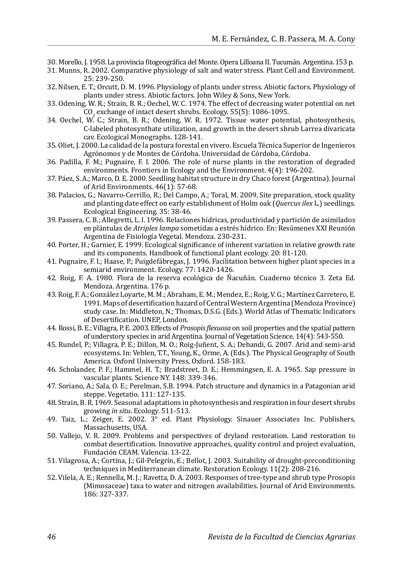- 30. Morello, J. 1958. La provincia fitogeográfica del Monte. Opera Lilloana II. Tucumán. Argentina. 153 p.
- 31. Munns, R. 2002. Comparative physiology of salt and water stress. Plant Cell and Environment. 25: 239-250.
- 32. Nilsen, E. T.; Orcutt, D. M. 1996. Physiology of plants under stress. Abiotic factors. Physiology of plants under stress. Abiotic factors. John Wiley & Sons, New York.
- 33. Odening, W. R.; Strain, B. R.; Oechel, W. C. 1974. The effect of decreasing water potential on net CO2 exchange of intact desert shrubs. Ecology. 55(5): 1086-1095.
- 34. Oechel, W. C.; Strain, B. R.; Odening, W. R. 1972. Tissue water potential, photosynthesis, C-labeled photosynthate utilization, and growth in the desert shrub Larrea divaricata cav. Ecological Monographs. 128-141.
- 35. Oliet, J. 2000. La calidad de la postura forestal en vivero. Escuela Técnica Superior de Ingenieros Agrónomos y de Montes de Córdoba. Universidad de Córdoba, Córdoba.
- 36. Padilla, F. M.; Pugnaire, F. I. 2006. The role of nurse plants in the restoration of degraded environments. Frontiers in Ecology and the Environment. 4(4): 196-202.
- 37. Páez, S. A.; Marco, D. E. 2000. Seedling habitat structure in dry Chaco forest (Argentina). Journal of Arid Environments. 46(1): 57-68.
- 38. Palacios, G.; Navarro-Cerrillo, R.; Del Campo, A.; Toral, M. 2009. Site preparation, stock quality and planting date effect on early establishment of Holm oak (*Quercus ilex* L.) seedlings. Ecological Engineering. 35: 38-46.
- 39. Passera, C. B.; Allegretti, L. I. 1996. Relaciones hídricas, productividad y partición de asimilados en plántulas de *Atriplex lampa* sometidas a estrés hídrico. En: Resúmenes XXI Reunión Argentina de Fisiología Vegetal. Mendoza. 230-231.
- 40. Porter, H.; Garnier, E. 1999. Ecological significance of inherent variation in relative growth rate and its components. Handbook of functional plant ecology. 20: 81-120.
- 41. Pugnaire, F. I.; Haase, P.; Puigdefábregas, J. 1996. Facilitation between higher plant species in a semiarid environment. Ecology. 77: 1420-1426.
- 42. Roig, F. A. 1980. Flora de la reserva ecológica de Ñacuñán. Cuaderno técnico 3. Zeta Ed. Mendoza. Argentina. 176 p.
- 43. Roig, F. A.; González Loyarte, M. M.; Abraham, E. M.; Mendez, E.; Roig, V. G.; Martínez Carretero, E. 1991. Maps of desertification hazard of Central Western Argentina (Mendoza Province) study case. In: Middleton, N.; Thomas, D.S.G. (Eds.). World Atlas of Thematic Indicators of Desertification. UNEP, London.
- 44. Rossi, B. E.; Villagra, P. E. 2003. Effects of *Prosopis flexuosa* on soil properties and the spatial pattern of understory species in arid Argentina. Journal of Vegetation Science. 14(4): 543-550.
- 45. Rundel, P.; Villagra, P. E.; Dillon, M. O.; Roig-Juñent, S. A.; Debandi, G. 2007. Arid and semi-arid ecosystems. In: Veblen, T.T., Young, K., Orme, A. (Eds.). The Physical Geography of South America. Oxford University Press, Oxford. 158-183.
- 46. Scholander, P. F.; Hammel, H. T.; Bradstreet, D. E.; Hemmingsen, E. A. 1965. Sap pressure in vascular plants. Science NY. 148: 339-346.
- 47. Soriano, A.; Sala, O. E.; Perelman, S.B. 1994. Patch structure and dynamics in a Patagonian arid steppe. Vegetatio. 111: 127-135.
- 48. Strain, B. R. 1969. Seasonal adaptations in photosynthesis and respiration in four desert shrubs growing *in situ*. Ecology. 511-513.
- 49. Taiz, L.; Zeiger, E. 2002. 3° ed. Plant Physiology. Sinauer Associates Inc. Publishers, Massachusetts, USA.
- 50. Vallejo, V. R. 2009. Problems and perspectives of dryland restoration. Land restoration to combat desertification. Innovative approaches, quality control and project evaluation, Fundación CEAM. Valencia. 13-22.
- 51. Vilagrosa, A.; Cortina, J.; Gil-Pelegrín, E.; Bellot, J. 2003. Suitability of drought-preconditioning techniques in Mediterranean climate. Restoration Ecology. 11(2): 208-216.
- 52. Vilela, A. E.; Rennella, M. J.; Ravetta, D. A. 2003. Responses of tree-type and shrub type Prosopis (Mimosaceae) taxa to water and nitrogen availabilities. Journal of Arid Environments. 186: 327-337.